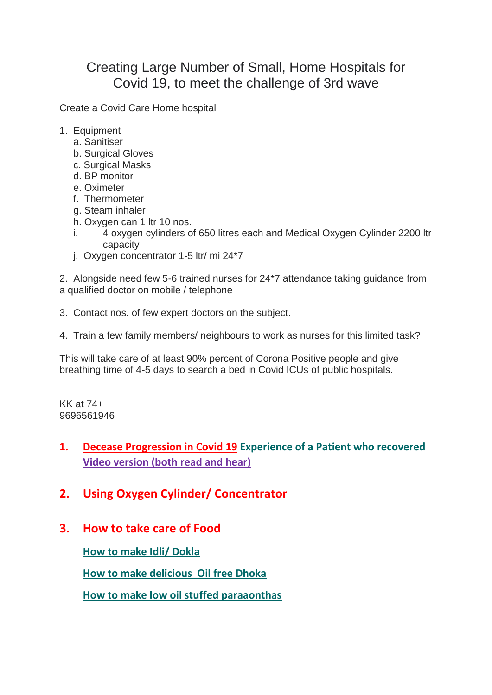## Creating Large Number of Small, Home Hospitals for Covid 19, to meet the challenge of 3rd wave

Create a Covid Care Home hospital

- 1. Equipment
	- a. Sanitiser
	- b. Surgical Gloves
	- c. Surgical Masks
	- d. BP monitor
	- e. Oximeter
	- f. Thermometer
	- g. Steam inhaler
	- h. Oxygen can 1 ltr 10 nos.
	- i. 4 oxygen cylinders of 650 litres each and Medical Oxygen Cylinder 2200 ltr capacity
	- j. Oxygen concentrator 1-5 ltr/ mi 24\*7

2. Alongside need few 5-6 trained nurses for 24\*7 attendance taking guidance from a qualified doctor on mobile / telephone

- 3. Contact nos. of few expert doctors on the subject.
- 4. Train a few family members/ neighbours to work as nurses for this limited task?

This will take care of at least 90% percent of Corona Positive people and give breathing time of 4-5 days to search a bed in Covid ICUs of public hospitals.

KK at 74+ 9696561946

## **1. [Decease Progression in Covid 19](handlingdeltavariant.pdf) Experience of a Patient who recovered [Video version \(both](http://ekhaikk.co/HANDLING%20DELTA%20VARIANT.mp4) read and hear)**

- **2. Using Oxygen Cylinder/ Concentrator**
- **3. How to take care of Food**

**[How to make Idli/ Dokla](https://www.youtube.com/watch?v=e7yZPkTn4QU)**

**[How to make delicious Oil free Dhoka](https://www.youtube.com/watch?v=RDDcuOXZMXQ)**

**[How to make low oil stuffed paraaonthas](https://www.youtube.com/watch?v=4iUZr98rtLo)**